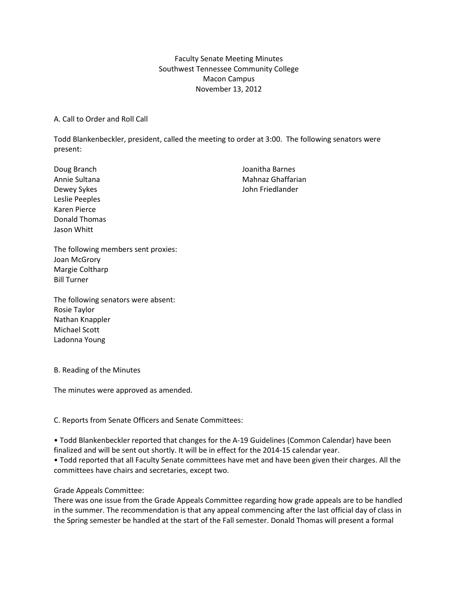# Faculty Senate Meeting Minutes Southwest Tennessee Community College Macon Campus November 13, 2012

A. Call to Order and Roll Call

Todd Blankenbeckler, president, called the meeting to order at 3:00. The following senators were present:

Leslie Peeples Karen Pierce Donald Thomas Jason Whitt

Doug Branch **Doug Branch Joanitha Barnes** Annie Sultana Mahnaz Ghaffarian Dewey Sykes **Dewey Sykes** John Friedlander

The following members sent proxies: Joan McGrory Margie Coltharp Bill Turner

The following senators were absent: Rosie Taylor Nathan Knappler Michael Scott Ladonna Young

B. Reading of the Minutes

The minutes were approved as amended.

C. Reports from Senate Officers and Senate Committees:

• Todd Blankenbeckler reported that changes for the A-19 Guidelines (Common Calendar) have been finalized and will be sent out shortly. It will be in effect for the 2014-15 calendar year.

• Todd reported that all Faculty Senate committees have met and have been given their charges. All the committees have chairs and secretaries, except two.

## Grade Appeals Committee:

There was one issue from the Grade Appeals Committee regarding how grade appeals are to be handled in the summer. The recommendation is that any appeal commencing after the last official day of class in the Spring semester be handled at the start of the Fall semester. Donald Thomas will present a formal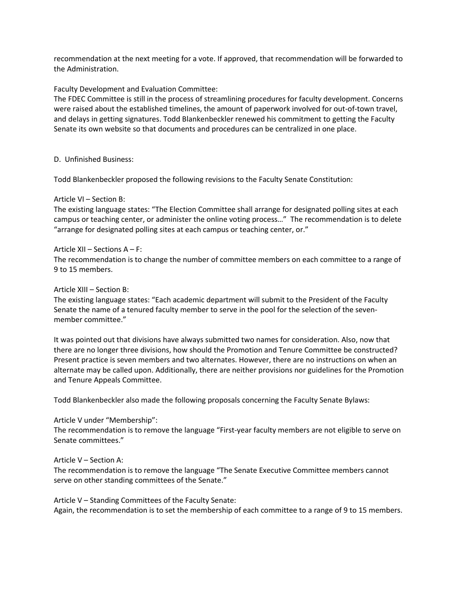recommendation at the next meeting for a vote. If approved, that recommendation will be forwarded to the Administration.

Faculty Development and Evaluation Committee:

The FDEC Committee is still in the process of streamlining procedures for faculty development. Concerns were raised about the established timelines, the amount of paperwork involved for out-of-town travel, and delays in getting signatures. Todd Blankenbeckler renewed his commitment to getting the Faculty Senate its own website so that documents and procedures can be centralized in one place.

D. Unfinished Business:

Todd Blankenbeckler proposed the following revisions to the Faculty Senate Constitution:

### Article VI – Section B:

The existing language states: "The Election Committee shall arrange for designated polling sites at each campus or teaching center, or administer the online voting process…" The recommendation is to delete "arrange for designated polling sites at each campus or teaching center, or."

### Article XII – Sections A – F:

The recommendation is to change the number of committee members on each committee to a range of 9 to 15 members.

## Article XIII – Section B:

The existing language states: "Each academic department will submit to the President of the Faculty Senate the name of a tenured faculty member to serve in the pool for the selection of the sevenmember committee."

It was pointed out that divisions have always submitted two names for consideration. Also, now that there are no longer three divisions, how should the Promotion and Tenure Committee be constructed? Present practice is seven members and two alternates. However, there are no instructions on when an alternate may be called upon. Additionally, there are neither provisions nor guidelines for the Promotion and Tenure Appeals Committee.

Todd Blankenbeckler also made the following proposals concerning the Faculty Senate Bylaws:

## Article V under "Membership":

The recommendation is to remove the language "First-year faculty members are not eligible to serve on Senate committees."

#### Article V – Section A:

The recommendation is to remove the language "The Senate Executive Committee members cannot serve on other standing committees of the Senate."

Article V – Standing Committees of the Faculty Senate: Again, the recommendation is to set the membership of each committee to a range of 9 to 15 members.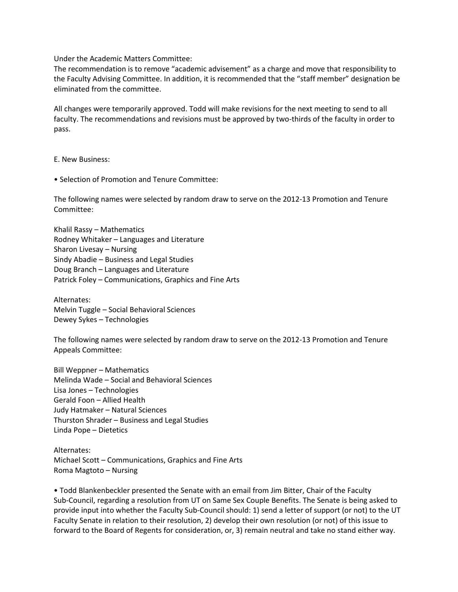Under the Academic Matters Committee:

The recommendation is to remove "academic advisement" as a charge and move that responsibility to the Faculty Advising Committee. In addition, it is recommended that the "staff member" designation be eliminated from the committee.

All changes were temporarily approved. Todd will make revisions for the next meeting to send to all faculty. The recommendations and revisions must be approved by two-thirds of the faculty in order to pass.

E. New Business:

• Selection of Promotion and Tenure Committee:

The following names were selected by random draw to serve on the 2012-13 Promotion and Tenure Committee:

Khalil Rassy – Mathematics Rodney Whitaker – Languages and Literature Sharon Livesay – Nursing Sindy Abadie – Business and Legal Studies Doug Branch – Languages and Literature Patrick Foley – Communications, Graphics and Fine Arts

Alternates: Melvin Tuggle – Social Behavioral Sciences Dewey Sykes – Technologies

The following names were selected by random draw to serve on the 2012-13 Promotion and Tenure Appeals Committee:

Bill Weppner – Mathematics Melinda Wade – Social and Behavioral Sciences Lisa Jones – Technologies Gerald Foon – Allied Health Judy Hatmaker – Natural Sciences Thurston Shrader – Business and Legal Studies Linda Pope – Dietetics

Alternates: Michael Scott – Communications, Graphics and Fine Arts Roma Magtoto – Nursing

• Todd Blankenbeckler presented the Senate with an email from Jim Bitter, Chair of the Faculty Sub-Council, regarding a resolution from UT on Same Sex Couple Benefits. The Senate is being asked to provide input into whether the Faculty Sub-Council should: 1) send a letter of support (or not) to the UT Faculty Senate in relation to their resolution, 2) develop their own resolution (or not) of this issue to forward to the Board of Regents for consideration, or, 3) remain neutral and take no stand either way.